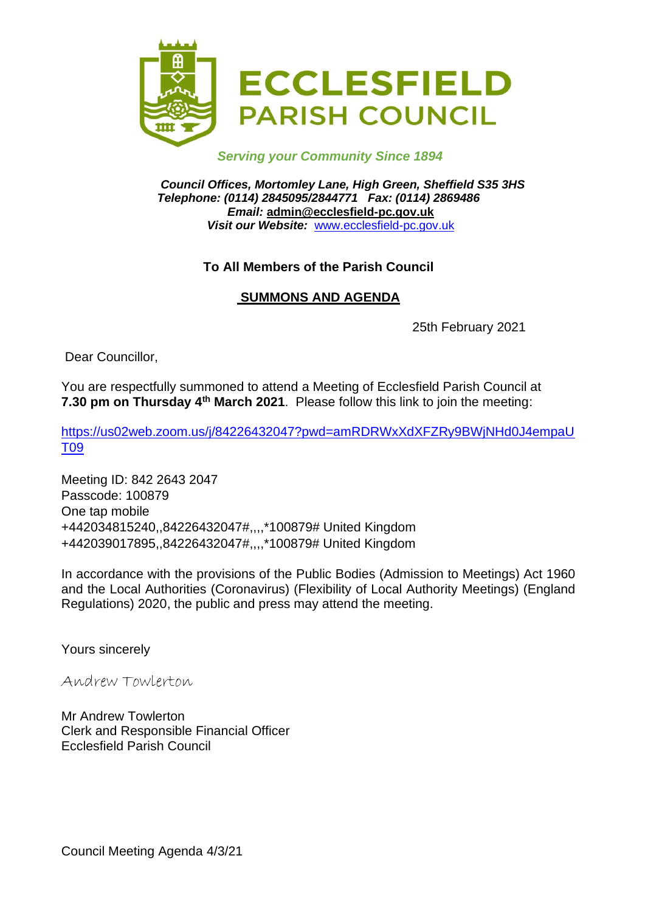

### *Serving your Community Since 1894*

*Council Offices, Mortomley Lane, High Green, Sheffield S35 3HS Telephone: (0114) 2845095/2844771 Fax: (0114) 2869486 Email:* **admin@ecclesfield-pc.gov.uk** *Visit our Website:* [www.ecclesfield-pc.gov.uk](http://www.ecclesfield-pc.gov.uk/)

### **To All Members of the Parish Council**

# **SUMMONS AND AGENDA**

25th February 2021

Dear Councillor,

You are respectfully summoned to attend a Meeting of Ecclesfield Parish Council at **7.30 pm on Thursday 4<sup>th</sup> March 2021**. Please follow this link to join the meeting:

[https://us02web.zoom.us/j/84226432047?pwd=amRDRWxXdXFZRy9BWjNHd0J4empaU](https://us02web.zoom.us/j/84226432047?pwd=amRDRWxXdXFZRy9BWjNHd0J4empaUT09) [T09](https://us02web.zoom.us/j/84226432047?pwd=amRDRWxXdXFZRy9BWjNHd0J4empaUT09)

Meeting ID: 842 2643 2047 Passcode: 100879 One tap mobile +442034815240,,84226432047#,,,,\*100879# United Kingdom +442039017895,,84226432047#,,,,\*100879# United Kingdom

In accordance with the provisions of the Public Bodies (Admission to Meetings) Act 1960 and the Local Authorities (Coronavirus) (Flexibility of Local Authority Meetings) (England Regulations) 2020, the public and press may attend the meeting.

Yours sincerely

Andrew Towlerton

Mr Andrew Towlerton Clerk and Responsible Financial Officer Ecclesfield Parish Council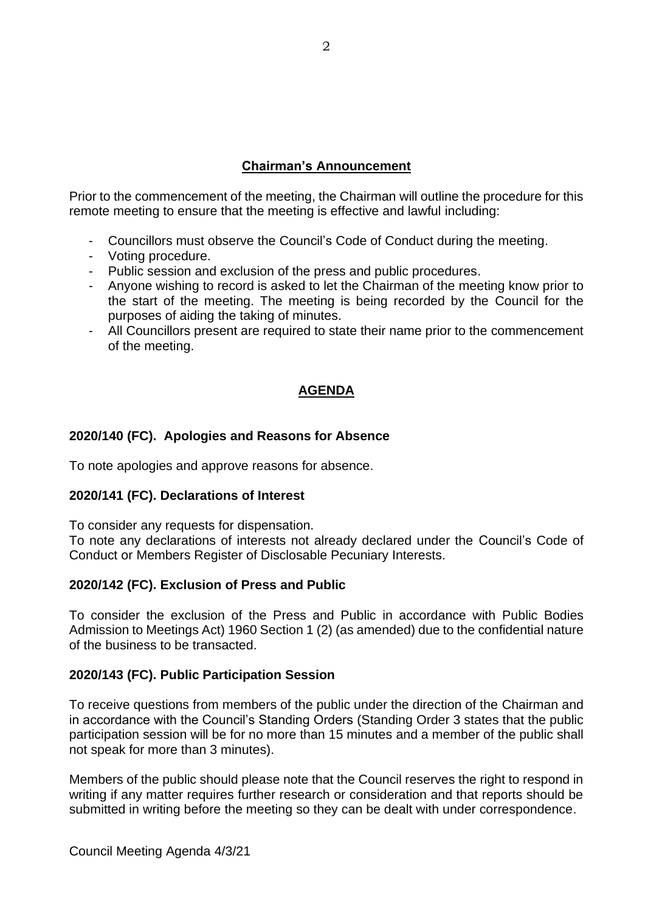# **Chairman's Announcement**

Prior to the commencement of the meeting, the Chairman will outline the procedure for this remote meeting to ensure that the meeting is effective and lawful including:

- Councillors must observe the Council's Code of Conduct during the meeting.
- Voting procedure.
- Public session and exclusion of the press and public procedures.
- Anyone wishing to record is asked to let the Chairman of the meeting know prior to the start of the meeting. The meeting is being recorded by the Council for the purposes of aiding the taking of minutes.
- All Councillors present are required to state their name prior to the commencement of the meeting.

# **AGENDA**

# **2020/140 (FC). Apologies and Reasons for Absence**

To note apologies and approve reasons for absence.

#### **2020/141 (FC). Declarations of Interest**

To consider any requests for dispensation.

To note any declarations of interests not already declared under the Council's Code of Conduct or Members Register of Disclosable Pecuniary Interests.

#### **2020/142 (FC). Exclusion of Press and Public**

To consider the exclusion of the Press and Public in accordance with Public Bodies Admission to Meetings Act) 1960 Section 1 (2) (as amended) due to the confidential nature of the business to be transacted.

#### **2020/143 (FC). Public Participation Session**

To receive questions from members of the public under the direction of the Chairman and in accordance with the Council's Standing Orders (Standing Order 3 states that the public participation session will be for no more than 15 minutes and a member of the public shall not speak for more than 3 minutes).

Members of the public should please note that the Council reserves the right to respond in writing if any matter requires further research or consideration and that reports should be submitted in writing before the meeting so they can be dealt with under correspondence.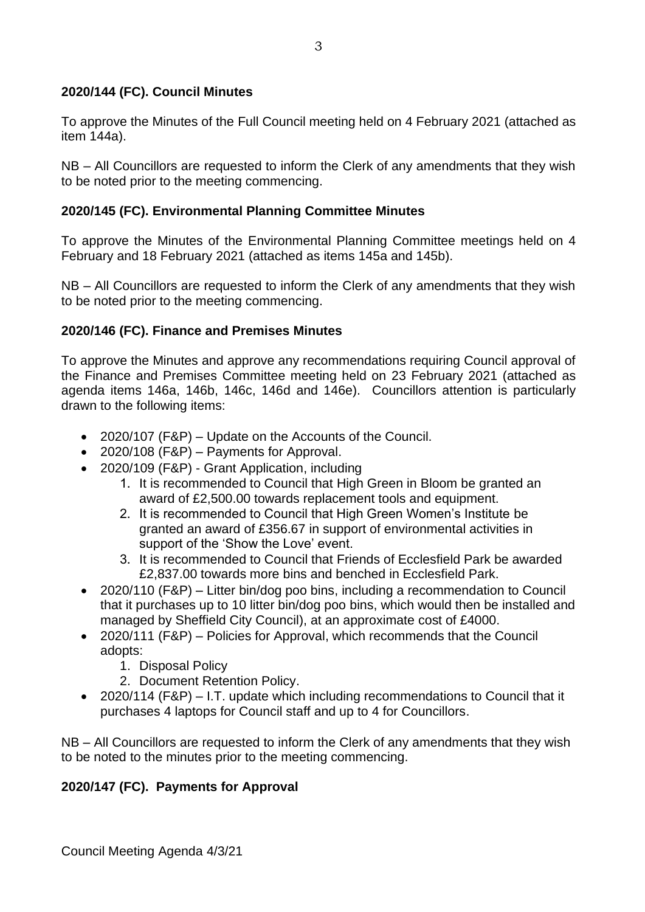### **2020/144 (FC). Council Minutes**

To approve the Minutes of the Full Council meeting held on 4 February 2021 (attached as item 144a).

NB – All Councillors are requested to inform the Clerk of any amendments that they wish to be noted prior to the meeting commencing.

### **2020/145 (FC). Environmental Planning Committee Minutes**

To approve the Minutes of the Environmental Planning Committee meetings held on 4 February and 18 February 2021 (attached as items 145a and 145b).

NB – All Councillors are requested to inform the Clerk of any amendments that they wish to be noted prior to the meeting commencing.

### **2020/146 (FC). Finance and Premises Minutes**

To approve the Minutes and approve any recommendations requiring Council approval of the Finance and Premises Committee meeting held on 23 February 2021 (attached as agenda items 146a, 146b, 146c, 146d and 146e).Councillors attention is particularly drawn to the following items:

- 2020/107 (F&P) Update on the Accounts of the Council.
- 2020/108 (F&P) Payments for Approval.
- 2020/109 (F&P) Grant Application, including
	- 1. It is recommended to Council that High Green in Bloom be granted an award of £2,500.00 towards replacement tools and equipment.
	- 2. It is recommended to Council that High Green Women's Institute be granted an award of £356.67 in support of environmental activities in support of the 'Show the Love' event.
	- 3. It is recommended to Council that Friends of Ecclesfield Park be awarded £2,837.00 towards more bins and benched in Ecclesfield Park.
- 2020/110 (F&P) Litter bin/dog poo bins, including a recommendation to Council that it purchases up to 10 litter bin/dog poo bins, which would then be installed and managed by Sheffield City Council), at an approximate cost of £4000.
- 2020/111 (F&P) Policies for Approval, which recommends that the Council adopts:
	- 1. Disposal Policy
	- 2. Document Retention Policy.
- 2020/114 (F&P) I.T. update which including recommendations to Council that it purchases 4 laptops for Council staff and up to 4 for Councillors.

NB – All Councillors are requested to inform the Clerk of any amendments that they wish to be noted to the minutes prior to the meeting commencing.

# **2020/147 (FC). Payments for Approval**

Council Meeting Agenda 4/3/21